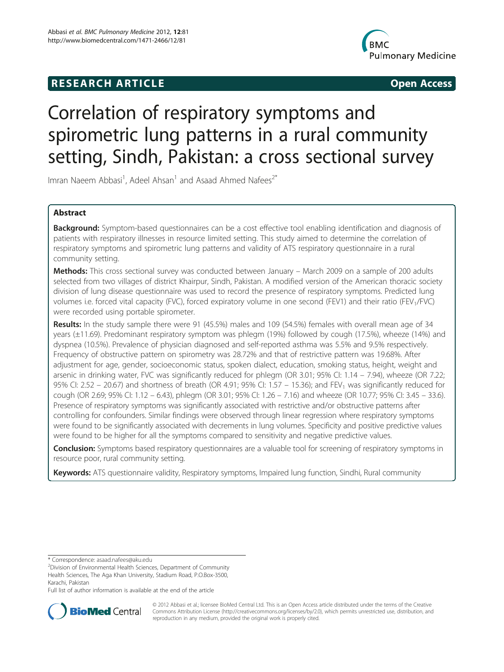## **RESEARCH ARTICLE Example 20 and 20 and 20 and 20 and 20 and 20 and 20 and 20 and 20 and 20 and 20 and 20 and 20 and 20 and 20 and 20 and 20 and 20 and 20 and 20 and 20 and 20 and 20 and 20 and 20 and 20 and 20 and 20 an**



# Correlation of respiratory symptoms and spirometric lung patterns in a rural community setting, Sindh, Pakistan: a cross sectional survey

Imran Naeem Abbasi<sup>1</sup>, Adeel Ahsan<sup>1</sup> and Asaad Ahmed Nafees<sup>2\*</sup>

## Abstract

Background: Symptom-based questionnaires can be a cost effective tool enabling identification and diagnosis of patients with respiratory illnesses in resource limited setting. This study aimed to determine the correlation of respiratory symptoms and spirometric lung patterns and validity of ATS respiratory questionnaire in a rural community setting.

Methods: This cross sectional survey was conducted between January – March 2009 on a sample of 200 adults selected from two villages of district Khairpur, Sindh, Pakistan. A modified version of the American thoracic society division of lung disease questionnaire was used to record the presence of respiratory symptoms. Predicted lung volumes i.e. forced vital capacity (FVC), forced expiratory volume in one second (FEV1) and their ratio (FEV<sub>1</sub>/FVC) were recorded using portable spirometer.

Results: In the study sample there were 91 (45.5%) males and 109 (54.5%) females with overall mean age of 34 years (±11.69). Predominant respiratory symptom was phlegm (19%) followed by cough (17.5%), wheeze (14%) and dyspnea (10.5%). Prevalence of physician diagnosed and self-reported asthma was 5.5% and 9.5% respectively. Frequency of obstructive pattern on spirometry was 28.72% and that of restrictive pattern was 19.68%. After adjustment for age, gender, socioeconomic status, spoken dialect, education, smoking status, height, weight and arsenic in drinking water, FVC was significantly reduced for phlegm (OR 3.01; 95% CI: 1.14 – 7.94), wheeze (OR 7.22; 95% CI: 2.52 – 20.67) and shortness of breath (OR 4.91; 95% CI: 1.57 – 15.36); and FEV<sub>1</sub> was significantly reduced for cough (OR 2.69; 95% CI: 1.12 – 6.43), phlegm (OR 3.01; 95% CI: 1.26 – 7.16) and wheeze (OR 10.77; 95% CI: 3.45 – 33.6). Presence of respiratory symptoms was significantly associated with restrictive and/or obstructive patterns after controlling for confounders. Similar findings were observed through linear regression where respiratory symptoms were found to be significantly associated with decrements in lung volumes. Specificity and positive predictive values were found to be higher for all the symptoms compared to sensitivity and negative predictive values.

**Conclusion:** Symptoms based respiratory questionnaires are a valuable tool for screening of respiratory symptoms in resource poor, rural community setting.

Keywords: ATS questionnaire validity, Respiratory symptoms, Impaired lung function, Sindhi, Rural community

\* Correspondence: [asaad.nafees@aku.edu](mailto:asaad.nafees@aku.edu) <sup>2</sup>

<sup>2</sup> Division of Environmental Health Sciences, Department of Community Health Sciences, The Aga Khan University, Stadium Road, P.O.Box-3500, Karachi, Pakistan

Full list of author information is available at the end of the article



© 2012 Abbasi et al.; licensee BioMed Central Ltd. This is an Open Access article distributed under the terms of the Creative Commons Attribution License ([http://creativecommons.org/licenses/by/2.0\)](http://creativecommons.org/licenses/by/2.0), which permits unrestricted use, distribution, and reproduction in any medium, provided the original work is properly cited.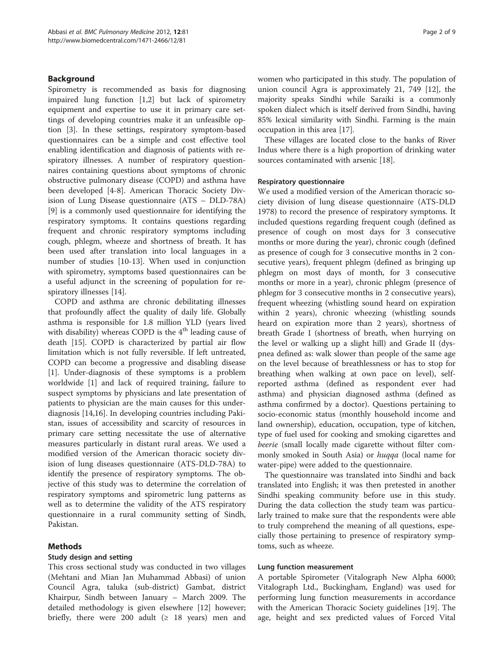## Background

Spirometry is recommended as basis for diagnosing impaired lung function [[1,2\]](#page-8-0) but lack of spirometry equipment and expertise to use it in primary care settings of developing countries make it an unfeasible option [[3](#page-8-0)]. In these settings, respiratory symptom-based questionnaires can be a simple and cost effective tool enabling identification and diagnosis of patients with respiratory illnesses. A number of respiratory questionnaires containing questions about symptoms of chronic obstructive pulmonary disease (COPD) and asthma have been developed [[4-8](#page-8-0)]. American Thoracic Society Division of Lung Disease questionnaire (ATS – DLD-78A) [[9\]](#page-8-0) is a commonly used questionnaire for identifying the respiratory symptoms. It contains questions regarding frequent and chronic respiratory symptoms including cough, phlegm, wheeze and shortness of breath. It has been used after translation into local languages in a number of studies [[10](#page-8-0)-[13\]](#page-8-0). When used in conjunction with spirometry, symptoms based questionnaires can be a useful adjunct in the screening of population for respiratory illnesses [[14](#page-8-0)].

COPD and asthma are chronic debilitating illnesses that profoundly affect the quality of daily life. Globally asthma is responsible for 1.8 million YLD (years lived with disability) whereas COPD is the  $4<sup>th</sup>$  leading cause of death [[15](#page-8-0)]. COPD is characterized by partial air flow limitation which is not fully reversible. If left untreated, COPD can become a progressive and disabling disease [[1\]](#page-8-0). Under-diagnosis of these symptoms is a problem worldwide [[1\]](#page-8-0) and lack of required training, failure to suspect symptoms by physicians and late presentation of patients to physician are the main causes for this underdiagnosis [\[14,16\]](#page-8-0). In developing countries including Pakistan, issues of accessibility and scarcity of resources in primary care setting necessitate the use of alternative measures particularly in distant rural areas. We used a modified version of the American thoracic society division of lung diseases questionnaire (ATS-DLD-78A) to identify the presence of respiratory symptoms. The objective of this study was to determine the correlation of respiratory symptoms and spirometric lung patterns as well as to determine the validity of the ATS respiratory questionnaire in a rural community setting of Sindh, Pakistan.

## Methods

## Study design and setting

This cross sectional study was conducted in two villages (Mehtani and Mian Jan Muhammad Abbasi) of union Council Agra, taluka (sub-district) Gambat, district Khairpur, Sindh between January – March 2009. The detailed methodology is given elsewhere [\[12](#page-8-0)] however; briefly, there were 200 adult ( $\geq$  18 years) men and women who participated in this study. The population of union council Agra is approximately 21, 749 [[12\]](#page-8-0), the majority speaks Sindhi while Saraiki is a commonly spoken dialect which is itself derived from Sindhi, having 85% lexical similarity with Sindhi. Farming is the main occupation in this area [[17\]](#page-8-0).

These villages are located close to the banks of River Indus where there is a high proportion of drinking water sources contaminated with arsenic [[18](#page-8-0)].

## Respiratory questionnaire

We used a modified version of the American thoracic society division of lung disease questionnaire (ATS-DLD 1978) to record the presence of respiratory symptoms. It included questions regarding frequent cough (defined as presence of cough on most days for 3 consecutive months or more during the year), chronic cough (defined as presence of cough for 3 consecutive months in 2 consecutive years), frequent phlegm (defined as bringing up phlegm on most days of month, for 3 consecutive months or more in a year), chronic phlegm (presence of phlegm for 3 consecutive months in 2 consecutive years), frequent wheezing (whistling sound heard on expiration within 2 years), chronic wheezing (whistling sounds heard on expiration more than 2 years), shortness of breath Grade I (shortness of breath, when hurrying on the level or walking up a slight hill) and Grade II (dyspnea defined as: walk slower than people of the same age on the level because of breathlessness or has to stop for breathing when walking at own pace on level), selfreported asthma (defined as respondent ever had asthma) and physician diagnosed asthma (defined as asthma confirmed by a doctor). Questions pertaining to socio-economic status (monthly household income and land ownership), education, occupation, type of kitchen, type of fuel used for cooking and smoking cigarettes and beerie (small locally made cigarette without filter commonly smoked in South Asia) or *huqqa* (local name for water-pipe) were added to the questionnaire.

The questionnaire was translated into Sindhi and back translated into English; it was then pretested in another Sindhi speaking community before use in this study. During the data collection the study team was particularly trained to make sure that the respondents were able to truly comprehend the meaning of all questions, especially those pertaining to presence of respiratory symptoms, such as wheeze.

## Lung function measurement

A portable Spirometer (Vitalograph New Alpha 6000; Vitalograph Ltd., Buckingham, England) was used for performing lung function measurements in accordance with the American Thoracic Society guidelines [\[19\]](#page-8-0). The age, height and sex predicted values of Forced Vital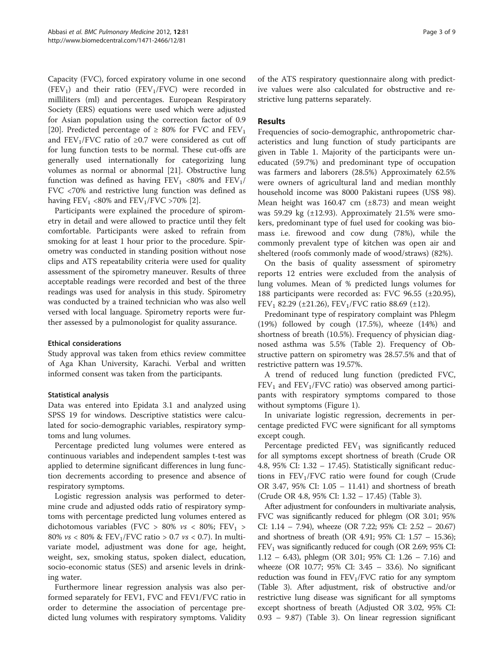Capacity (FVC), forced expiratory volume in one second  $(FEV<sub>1</sub>)$  and their ratio  $(FEV<sub>1</sub>/FVC)$  were recorded in milliliters (ml) and percentages. European Respiratory Society (ERS) equations were used which were adjusted for Asian population using the correction factor of 0.9 [[20\]](#page-8-0). Predicted percentage of  $\geq 80\%$  for FVC and FEV<sub>1</sub> and FEV<sub>1</sub>/FVC ratio of  $\geq 0.7$  were considered as cut off for lung function tests to be normal. These cut-offs are generally used internationally for categorizing lung volumes as normal or abnormal [\[21\]](#page-8-0). Obstructive lung function was defined as having  $FEV_1$  <80% and  $FEV_1$ / FVC <70% and restrictive lung function was defined as having  $FEV_1$  <80% and  $FEV_1/FVC$  >70% [[2\]](#page-8-0).

Participants were explained the procedure of spirometry in detail and were allowed to practice until they felt comfortable. Participants were asked to refrain from smoking for at least 1 hour prior to the procedure. Spirometry was conducted in standing position without nose clips and ATS repeatability criteria were used for quality assessment of the spirometry maneuver. Results of three acceptable readings were recorded and best of the three readings was used for analysis in this study. Spirometry was conducted by a trained technician who was also well versed with local language. Spirometry reports were further assessed by a pulmonologist for quality assurance.

## Ethical considerations

Study approval was taken from ethics review committee of Aga Khan University, Karachi. Verbal and written informed consent was taken from the participants.

## Statistical analysis

Data was entered into Epidata 3.1 and analyzed using SPSS 19 for windows. Descriptive statistics were calculated for socio-demographic variables, respiratory symptoms and lung volumes.

Percentage predicted lung volumes were entered as continuous variables and independent samples t-test was applied to determine significant differences in lung function decrements according to presence and absence of respiratory symptoms.

Logistic regression analysis was performed to determine crude and adjusted odds ratio of respiratory symptoms with percentage predicted lung volumes entered as dichotomous variables (FVC > 80%  $vs$  < 80%; FEV<sub>1</sub> > 80%  $vs < 80\%$  & FEV<sub>1</sub>/FVC ratio > 0.7  $vs < 0.7$ ). In multivariate model, adjustment was done for age, height, weight, sex, smoking status, spoken dialect, education, socio-economic status (SES) and arsenic levels in drinking water.

Furthermore linear regression analysis was also performed separately for FEV1, FVC and FEV1/FVC ratio in order to determine the association of percentage predicted lung volumes with respiratory symptoms. Validity

of the ATS respiratory questionnaire along with predictive values were also calculated for obstructive and restrictive lung patterns separately.

## Results

Frequencies of socio-demographic, anthropometric characteristics and lung function of study participants are given in Table [1.](#page-3-0) Majority of the participants were uneducated (59.7%) and predominant type of occupation was farmers and laborers (28.5%) Approximately 62.5% were owners of agricultural land and median monthly household income was 8000 Pakistani rupees (US\$ 98). Mean height was  $160.47$  cm  $(\pm 8.73)$  and mean weight was 59.29 kg (±12.93). Approximately 21.5% were smokers, predominant type of fuel used for cooking was biomass i.e. firewood and cow dung (78%), while the commonly prevalent type of kitchen was open air and sheltered (roofs commonly made of wood/straws) (82%).

On the basis of quality assessment of spirometry reports 12 entries were excluded from the analysis of lung volumes. Mean of % predicted lungs volumes for 188 participants were recorded as: FVC 96.55 (±20.95), FEV<sub>1</sub> 82.29 ( $\pm$ 21.26), FEV<sub>1</sub>/FVC ratio 88.69 ( $\pm$ 12).

Predominant type of respiratory complaint was Phlegm (19%) followed by cough (17.5%), wheeze (14%) and shortness of breath (10.5%). Frequency of physician diagnosed asthma was 5.5% (Table [2\)](#page-4-0). Frequency of Obstructive pattern on spirometry was 28.57.5% and that of restrictive pattern was 19.57%.

A trend of reduced lung function (predicted FVC,  $FEV<sub>1</sub>$  and  $FEV<sub>1</sub>/FVC$  ratio) was observed among participants with respiratory symptoms compared to those without symptoms (Figure [1](#page-4-0)).

In univariate logistic regression, decrements in percentage predicted FVC were significant for all symptoms except cough.

Percentage predicted  $FEV<sub>1</sub>$  was significantly reduced for all symptoms except shortness of breath (Crude OR 4.8, 95% CI: 1.32 – 17.45). Statistically significant reductions in  $FEV<sub>1</sub>/FVC$  ratio were found for cough (Crude OR 3.47, 95% CI: 1.05 – 11.41) and shortness of breath (Crude OR 4.8, 95% CI: 1.32 – 17.45) (Table [3](#page-5-0)).

After adjustment for confounders in multivariate analysis, FVC was significantly reduced for phlegm (OR 3.01; 95% CI: 1.14 – 7.94), wheeze (OR 7.22; 95% CI: 2.52 – 20.67) and shortness of breath (OR 4.91; 95% CI: 1.57 – 15.36);  $FEV<sub>1</sub>$  was significantly reduced for cough (OR 2.69; 95% CI: 1.12 – 6.43), phlegm (OR 3.01; 95% CI: 1.26 – 7.16) and wheeze (OR 10.77; 95% CI: 3.45 – 33.6). No significant reduction was found in  $FEV<sub>1</sub>/FVC$  ratio for any symptom (Table [3\)](#page-5-0). After adjustment, risk of obstructive and/or restrictive lung disease was significant for all symptoms except shortness of breath (Adjusted OR 3.02, 95% CI: 0.93 – 9.87) (Table [3](#page-5-0)). On linear regression significant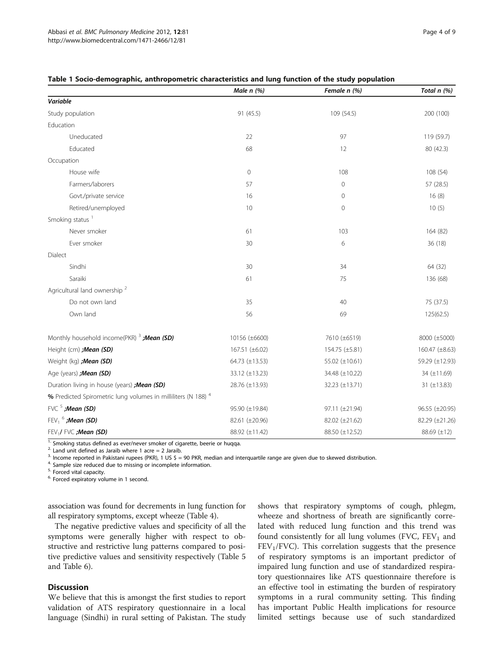|                                                                          | Male $n$ $(\%)$     | Female n (%)   | Total n (%)      |
|--------------------------------------------------------------------------|---------------------|----------------|------------------|
| Variable                                                                 |                     |                |                  |
| Study population                                                         | 91 (45.5)           | 109 (54.5)     | 200 (100)        |
| Education                                                                |                     |                |                  |
| Uneducated                                                               | 22                  | 97             | 119 (59.7)       |
| Educated                                                                 | 68                  | 12             | 80 (42.3)        |
| Occupation                                                               |                     |                |                  |
| House wife                                                               | $\mathsf{O}\xspace$ | 108            | 108 (54)         |
| Farmers/laborers                                                         | 57                  | $\mathbf 0$    | 57 (28.5)        |
| Govt./private service                                                    | 16                  | $\mathbf 0$    | 16(8)            |
| Retired/unemployed                                                       | 10                  | $\mathbf 0$    | 10(5)            |
| Smoking status <sup>1</sup>                                              |                     |                |                  |
| Never smoker                                                             | 61                  | 103            | 164 (82)         |
| Ever smoker                                                              | 30                  | 6              | 36 (18)          |
| Dialect                                                                  |                     |                |                  |
| Sindhi                                                                   | 30                  | 34             | 64 (32)          |
| Saraiki                                                                  | 61                  | 75             | 136 (68)         |
| Agricultural land ownership <sup>2</sup>                                 |                     |                |                  |
| Do not own land                                                          | 35                  | 40             | 75 (37.5)        |
| Own land                                                                 | 56                  | 69             | 125(62.5)        |
| Monthly household income(PKR) <sup>3</sup> ; Mean (SD)                   | 10156 (±6600)       | 7610 (±6519)   | 8000 (±5000)     |
| Height (cm) ;Mean (SD)                                                   | 167.51 $(\pm 6.02)$ | 154.75 (±5.81) | 160.47 (±8.63)   |
| Weight (kg) ;Mean (SD)                                                   | 64.73 (±13.53)      | 55.02 (±10.61) | 59.29 (±12.93)   |
| Age (years) ;Mean (SD)                                                   | 33.12 (±13.23)      | 34.48 (±10.22) | 34 (±11.69)      |
| Duration living in house (years) ;Mean (SD)                              | 28.76 (±13.93)      | 32.23 (±13.71) | 31 $(\pm 13.83)$ |
| % Predicted Spirometric lung volumes in milliliters (N 188) <sup>4</sup> |                     |                |                  |
| $FVC$ <sup>5</sup> ; Mean (SD)                                           | 95.90 (±19.84)      | 97.11 (±21.94) | 96.55 (±20.95)   |
| $FEV1$ <sup>6</sup> ; Mean (SD)                                          | 82.61 (±20.96)      | 82.02 (±21.62) | 82.29 (±21.26)   |
| FEV <sub>1</sub> / FVC ;Mean (SD)                                        | 88.92 (±11.42)      | 88.50 (±12.52) | 88.69 (±12)      |

## <span id="page-3-0"></span>Table 1 Socio-demographic, anthropometric characteristics and lung function of the study population

 $\frac{1}{1}$  Smoking status defined as ever/never smoker of cigarette, beerie or huqqa.

<sup>2.</sup> Land unit defined as Jaraib where 1 acre = 2 Jaraib.<br><sup>3.</sup> Income reported in Pakistani rupees (PKR), 1 US \$ = 90 PKR, median and interquartile range are given due to skewed distribution.<br><sup>4.</sup> Sample size reduced due

association was found for decrements in lung function for all respiratory symptoms, except wheeze (Table [4\)](#page-6-0).

The negative predictive values and specificity of all the symptoms were generally higher with respect to obstructive and restrictive lung patterns compared to positive predictive values and sensitivity respectively (Table [5](#page-6-0) and Table [6](#page-7-0)).

## **Discussion**

We believe that this is amongst the first studies to report validation of ATS respiratory questionnaire in a local language (Sindhi) in rural setting of Pakistan. The study

shows that respiratory symptoms of cough, phlegm, wheeze and shortness of breath are significantly correlated with reduced lung function and this trend was found consistently for all lung volumes (FVC,  $FEV<sub>1</sub>$  and  $FEV<sub>1</sub>/FVC$ ). This correlation suggests that the presence of respiratory symptoms is an important predictor of impaired lung function and use of standardized respiratory questionnaires like ATS questionnaire therefore is an effective tool in estimating the burden of respiratory symptoms in a rural community setting. This finding has important Public Health implications for resource limited settings because use of such standardized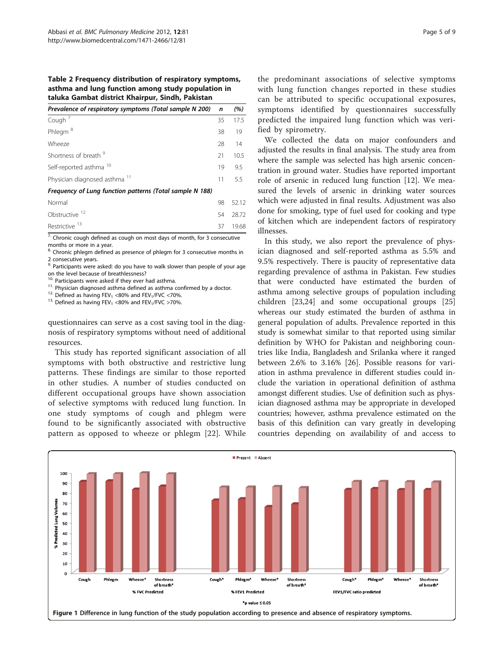<span id="page-4-0"></span>Table 2 Frequency distribution of respiratory symptoms, asthma and lung function among study population in taluka Gambat district Khairpur, Sindh, Pakistan

| Prevalence of respiratory symptoms (Total sample N 200) | $\mathbf n$ | (%)  |
|---------------------------------------------------------|-------------|------|
| Cough $^7$                                              | 35          | 175  |
| Phlegm <sup>8</sup>                                     | 38          | 19   |
| Wheeze                                                  | 28          | 14   |
| Shortness of breath <sup>9</sup>                        | 21          | 10.5 |
| Self-reported asthma <sup>10</sup>                      | 19          | 9.5  |
| Physician diagnosed asthma <sup>11</sup>                | 11          | 55   |
| - (I (II : II I Macadon)                                |             |      |

#### Frequency of Lung function patterns (Total sample N 188)

| Normal                    |     | 98 52.12 |
|---------------------------|-----|----------|
| Obstructive 12            | -54 | 28.72    |
| Restrictive <sup>13</sup> | 37  | 19.68    |

 $7.$  Chronic cough defined as cough on most days of month, for 3 consecutive months or more in a year.

Chronic phlegm defined as presence of phlegm for 3 consecutive months in 2 consecutive years.

9. Participants were asked: do you have to walk slower than people of your age on the level because of breathlessness?<br><sup>10.</sup> Participants were asked if they ever had asthma.

<sup>11.</sup> Physician diagnosed asthma defined as asthma confirmed by a doctor.<br><sup>12.</sup> Defined as having FEV<sub>1</sub> <80% and FEV<sub>1</sub>/FVC <70%.<br><sup>13.</sup> Defined as having FEV<sub>1</sub> <80% and FEV<sub>1</sub>/FVC >70%.

questionnaires can serve as a cost saving tool in the diagnosis of respiratory symptoms without need of additional resources.

This study has reported significant association of all symptoms with both obstructive and restrictive lung patterns. These findings are similar to those reported in other studies. A number of studies conducted on different occupational groups have shown association of selective symptoms with reduced lung function. In one study symptoms of cough and phlegm were found to be significantly associated with obstructive pattern as opposed to wheeze or phlegm [[22](#page-8-0)]. While

the predominant associations of selective symptoms with lung function changes reported in these studies can be attributed to specific occupational exposures, symptoms identified by questionnaires successfully predicted the impaired lung function which was verified by spirometry.

We collected the data on major confounders and adjusted the results in final analysis. The study area from where the sample was selected has high arsenic concentration in ground water. Studies have reported important role of arsenic in reduced lung function [[12\]](#page-8-0). We measured the levels of arsenic in drinking water sources which were adjusted in final results. Adjustment was also done for smoking, type of fuel used for cooking and type of kitchen which are independent factors of respiratory illnesses.

In this study, we also report the prevalence of physician diagnosed and self-reported asthma as 5.5% and 9.5% respectively. There is paucity of representative data regarding prevalence of asthma in Pakistan. Few studies that were conducted have estimated the burden of asthma among selective groups of population including children [\[23,24\]](#page-8-0) and some occupational groups [[25](#page-8-0)] whereas our study estimated the burden of asthma in general population of adults. Prevalence reported in this study is somewhat similar to that reported using similar definition by WHO for Pakistan and neighboring countries like India, Bangladesh and Srilanka where it ranged between 2.6% to 3.16% [[26\]](#page-8-0). Possible reasons for variation in asthma prevalence in different studies could include the variation in operational definition of asthma amongst different studies. Use of definition such as physician diagnosed asthma may be appropriate in developed countries; however, asthma prevalence estimated on the basis of this definition can vary greatly in developing countries depending on availability of and access to

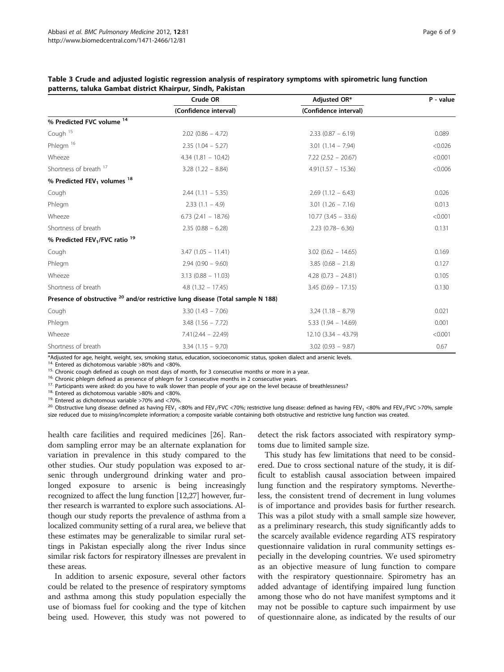|                                                       | Crude OR                                                                                   | Adjusted OR*<br>(Confidence interval) | P - value |
|-------------------------------------------------------|--------------------------------------------------------------------------------------------|---------------------------------------|-----------|
|                                                       | (Confidence interval)                                                                      |                                       |           |
| % Predicted FVC volume <sup>14</sup>                  |                                                                                            |                                       |           |
| Cough <sup>15</sup>                                   | $2.02$ (0.86 - 4.72)                                                                       | $2.33(0.87 - 6.19)$                   | 0.089     |
| Phlegm <sup>16</sup>                                  | $2.35(1.04 - 5.27)$                                                                        | $3.01(1.14 - 7.94)$                   | < 0.026   |
| Wheeze                                                | $4.34(1.81 - 10.42)$                                                                       | $7.22$ (2.52 - 20.67)                 | < 0.001   |
| Shortness of breath <sup>17</sup>                     | $3.28(1.22 - 8.84)$                                                                        | $4.91(1.57 - 15.36)$                  | < 0.006   |
| % Predicted FEV <sub>1</sub> volumes <sup>18</sup>    |                                                                                            |                                       |           |
| Cough                                                 | $2.44(1.11 - 5.35)$                                                                        | $2.69(1.12 - 6.43)$                   | 0.026     |
| Phlegm                                                | $2.33(1.1 - 4.9)$                                                                          | $3.01(1.26 - 7.16)$                   | 0.013     |
| Wheeze                                                | $6.73$ (2.41 - 18.76)                                                                      | $10.77(3.45 - 33.6)$                  | < 0.001   |
| Shortness of breath                                   | $2.35(0.88 - 6.28)$                                                                        | $2.23$ (0.78 - 6.36)                  | 0.131     |
| % Predicted FEV <sub>1</sub> /FVC ratio <sup>19</sup> |                                                                                            |                                       |           |
| Cough                                                 | $3.47(1.05 - 11.41)$                                                                       | $3.02$ (0.62 - 14.65)                 | 0.169     |
| Phlegm                                                | $2.94(0.90 - 9.60)$                                                                        | $3.85(0.68 - 21.8)$                   | 0.127     |
| Wheeze                                                | $3.13(0.88 - 11.03)$                                                                       | $4.28(0.73 - 24.81)$                  | 0.105     |
| Shortness of breath                                   | $4.8(1.32 - 17.45)$                                                                        | $3.45(0.69 - 17.15)$                  | 0.130     |
|                                                       | Presence of obstructive <sup>20</sup> and/or restrictive lung disease (Total sample N 188) |                                       |           |
| Cough                                                 | $3.30(1.43 - 7.06)$                                                                        | $3.24(1.18 - 8.79)$                   | 0.021     |
| Phlegm                                                | $3.48$ (1.56 - 7.72)                                                                       | $5.33(1.94 - 14.69)$                  | 0.001     |
| Wheeze                                                | $7.41(2.44 - 22.49)$                                                                       | $12.10(3.34 - 43.79)$                 | < 0.001   |
| Shortness of breath                                   | $3.34(1.15 - 9.70)$                                                                        | $3.02$ (0.93 - 9.87)                  | 0.67      |

### <span id="page-5-0"></span>Table 3 Crude and adjusted logistic regression analysis of respiratory symptoms with spirometric lung function patterns, taluka Gambat district Khairpur, Sindh, Pakistan

\*Adjusted for age, height, weight, sex, smoking status, education, socioeconomic status, spoken dialect and arsenic levels.

<sup>15.</sup> Chronic cough defined as cough on most days of month, for 3 consecutive months or more in a year.<br><sup>16.</sup> Chronic cough defined as presence of phlegm for 3 consecutive months in 2 consecutive years.<br><sup>17.</sup> Participants size reduced due to missing/incomplete information; a composite variable containing both obstructive and restrictive lung function was created.

health care facilities and required medicines [[26](#page-8-0)]. Random sampling error may be an alternate explanation for variation in prevalence in this study compared to the other studies. Our study population was exposed to arsenic through underground drinking water and prolonged exposure to arsenic is being increasingly recognized to affect the lung function [\[12,27\]](#page-8-0) however, further research is warranted to explore such associations. Although our study reports the prevalence of asthma from a localized community setting of a rural area, we believe that these estimates may be generalizable to similar rural settings in Pakistan especially along the river Indus since similar risk factors for respiratory illnesses are prevalent in these areas.

In addition to arsenic exposure, several other factors could be related to the presence of respiratory symptoms and asthma among this study population especially the use of biomass fuel for cooking and the type of kitchen being used. However, this study was not powered to detect the risk factors associated with respiratory symptoms due to limited sample size.

This study has few limitations that need to be considered. Due to cross sectional nature of the study, it is difficult to establish causal association between impaired lung function and the respiratory symptoms. Nevertheless, the consistent trend of decrement in lung volumes is of importance and provides basis for further research. This was a pilot study with a small sample size however, as a preliminary research, this study significantly adds to the scarcely available evidence regarding ATS respiratory questionnaire validation in rural community settings especially in the developing countries. We used spirometry as an objective measure of lung function to compare with the respiratory questionnaire. Spirometry has an added advantage of identifying impaired lung function among those who do not have manifest symptoms and it may not be possible to capture such impairment by use of questionnaire alone, as indicated by the results of our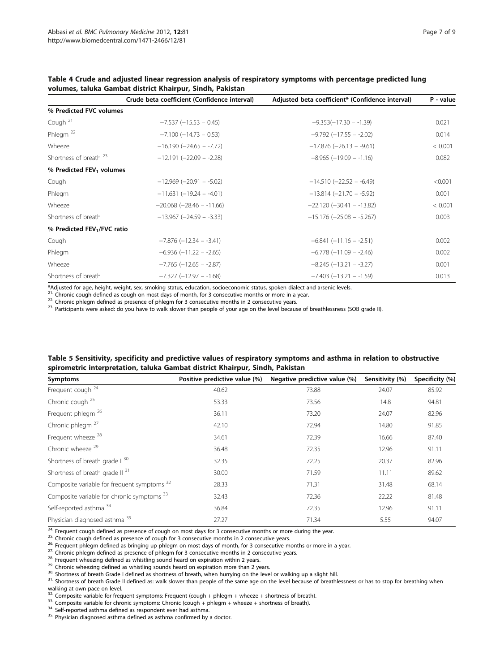|                                         | Crude beta coefficient (Confidence interval) | Adjusted beta coefficient* (Confidence interval) | P - value |
|-----------------------------------------|----------------------------------------------|--------------------------------------------------|-----------|
| % Predicted FVC volumes                 |                                              |                                                  |           |
| Cough <sup>21</sup>                     | $-7.537$ ( $-15.53$ - 0.45)                  | $-9.353(-17.30 - -1.39)$                         | 0.021     |
| Phlegm <sup>22</sup>                    | $-7.100$ ( $-14.73$ - 0.53)                  | $-9.792$ ( $-17.55 - -2.02$ )                    | 0.014     |
| Wheeze                                  | $-16.190$ ( $-24.65 - 7.72$ )                | $-17.876$ ( $-26.13 - -9.61$ )                   | < 0.001   |
| Shortness of breath <sup>23</sup>       | $-12.191$ ( $-22.09$ - $-2.28$ )             | $-8.965$ ( $-19.09 - 1.16$ )                     | 0.082     |
| % Predicted FEV <sub>1</sub> volumes    |                                              |                                                  |           |
| Cough                                   | $-12.969$ ( $-20.91$ - $-5.02$ )             | $-14.510$ ( $-22.52$ - $-6.49$ )                 | < 0.001   |
| Phlegm                                  | $-11.631$ ( $-19.24$ - $-4.01$ )             | $-13.814$ ( $-21.70$ - $-5.92$ )                 | 0.001     |
| Wheeze                                  | $-20.068$ ( $-28.46 - 11.66$ )               | $-22.120 (-30.41 - -13.82)$                      | < 0.001   |
| Shortness of breath                     | $-13.967$ ( $-24.59 - -3.33$ )               | $-15.176$ ( $-25.08 - -5.267$ )                  | 0.003     |
| % Predicted FEV <sub>1</sub> /FVC ratio |                                              |                                                  |           |
| Cough                                   | $-7.876$ ( $-12.34$ - $-3.41$ )              | $-6.841$ $(-11.16 - -2.51)$                      | 0.002     |
| Phlegm                                  | $-6.936$ $(-11.22 - -2.65)$                  | $-6.778$ ( $-11.09$ - $-2.46$ )                  | 0.002     |
| Wheeze                                  | $-7.765$ ( $-12.65 - -2.87$ )                | $-8.245$ ( $-13.21 - -3.27$ )                    | 0.001     |
| Shortness of breath                     | $-7.327$ $(-12.97 - 1.68)$                   | $-7.403$ $(-13.21 - -1.59)$                      | 0.013     |

## <span id="page-6-0"></span>Table 4 Crude and adjusted linear regression analysis of respiratory symptoms with percentage predicted lung volumes, taluka Gambat district Khairpur, Sindh, Pakistan

\*Adjusted for age, height, weight, sex, smoking status, education, socioeconomic status, spoken dialect and arsenic levels.<br><sup>21.</sup> Chronic cough defined as cough on most days of month, for 3 consecutive months or more in a

22. Chronic phlegm defined as presence of phlegm for 3 consecutive months in 2 consecutive years.<br>23. Participants were asked: do you have to walk slower than people of your age on the level because of breathlessness (SOB

| Table 5 Sensitivity, specificity and predictive values of respiratory symptoms and asthma in relation to obstructive |
|----------------------------------------------------------------------------------------------------------------------|
| spirometric interpretation, taluka Gambat district Khairpur, Sindh, Pakistan                                         |

| Symptoms                                    | Positive predictive value (%) | Negative predictive value (%) | Sensitivity (%) | Specificity (%) |
|---------------------------------------------|-------------------------------|-------------------------------|-----------------|-----------------|
| Frequent cough <sup>24</sup>                | 40.62                         | 73.88                         | 24.07           | 85.92           |
| Chronic cough <sup>25</sup>                 | 53.33                         | 73.56                         | 14.8            | 94.81           |
| Frequent phlegm <sup>26</sup>               | 36.11                         | 73.20                         | 24.07           | 82.96           |
| Chronic phlegm <sup>27</sup>                | 42.10                         | 72.94                         | 14.80           | 91.85           |
| Frequent wheeze <sup>28</sup>               | 34.61                         | 72.39                         | 16.66           | 87.40           |
| Chronic wheeze <sup>29</sup>                | 36.48                         | 72.35                         | 12.96           | 91.11           |
| Shortness of breath grade I <sup>30</sup>   | 32.35                         | 72.25                         | 20.37           | 82.96           |
| Shortness of breath grade II <sup>31</sup>  | 30.00                         | 71.59                         | 11.11           | 89.62           |
| Composite variable for frequent symptoms 32 | 28.33                         | 71.31                         | 31.48           | 68.14           |
| Composite variable for chronic symptoms 33  | 32.43                         | 72.36                         | 22.22           | 81.48           |
| Self-reported asthma <sup>34</sup>          | 36.84                         | 72.35                         | 12.96           | 91.11           |
| Physician diagnosed asthma 35               | 27.27                         | 71.34                         | 5.55            | 94.07           |

<sup>24.</sup> Frequent cough defined as presence of cough on most days for 3 consecutive months or more during the year.<br><sup>25.</sup> Chronic cough defined as presence of cough for 3 consecutive months in 2 consecutive years.<br><sup>25.</sup> Chron walking at own pace on level.<br>
<sup>32</sup> Composite variable for frequent symptoms: Frequent (cough + phlegm + wheeze + shortness of breath).

33. Composite variable for chronic symptoms: Chronic (cough + phlegm + wheeze + shortness of breath).<br>  $34.$  Self-reported asthma defined as respondent ever had asthma.<br>  $35.$  Physician diagnosed asthma defined as asthma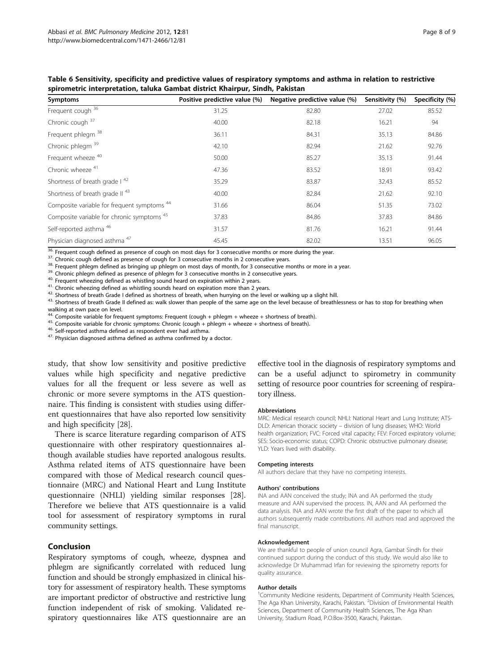| Page 8 of 9 |  |  |
|-------------|--|--|
|             |  |  |

| Symptoms                                               | Positive predictive value (%) | Negative predictive value (%) | Sensitivity (%) | Specificity (%) |
|--------------------------------------------------------|-------------------------------|-------------------------------|-----------------|-----------------|
| Frequent cough 36                                      | 31.25                         | 82.80                         | 27.02           | 85.52           |
| Chronic cough 37                                       | 40.00                         | 82.18                         | 16.21           | 94              |
| Frequent phlegm 38                                     | 36.11                         | 84.31                         | 35.13           | 84.86           |
| Chronic phlegm 39                                      | 42.10                         | 82.94                         | 21.62           | 92.76           |
| Frequent wheeze <sup>40</sup>                          | 50.00                         | 85.27                         | 35.13           | 91.44           |
| Chronic wheeze <sup>41</sup>                           | 47.36                         | 83.52                         | 18.91           | 93.42           |
| Shortness of breath grade I <sup>42</sup>              | 35.29                         | 83.87                         | 32.43           | 85.52           |
| Shortness of breath grade II <sup>43</sup>             | 40.00                         | 82.84                         | 21.62           | 92.10           |
| Composite variable for frequent symptoms <sup>44</sup> | 31.66                         | 86.04                         | 51.35           | 73.02           |
| Composite variable for chronic symptoms <sup>45</sup>  | 37.83                         | 84.86                         | 37.83           | 84.86           |
| Self-reported asthma 46                                | 31.57                         | 81.76                         | 16.21           | 91.44           |
| Physician diagnosed asthma <sup>47</sup>               | 45.45                         | 82.02                         | 13.51           | 96.05           |

<span id="page-7-0"></span>Table 6 Sensitivity, specificity and predictive values of respiratory symptoms and asthma in relation to restrictive spirometric interpretation, taluka Gambat district Khairpur, Sindh, Pakistan

<sup>36</sup>. Frequent cough defined as presence of cough on most days for 3 consecutive months or more during the year.<br><sup>37</sup>. Chronic cough defined as presence of cough for 3 consecutive months in 2 consecutive years.<br><sup>38</sup>. Freq walking at own pace on level.<br> $44$ . Composite variable for frequent symptoms: Frequent (cough + phlegm + wheeze + shortness of breath).

<sup>45.</sup> Composite variable for chronic symptoms: Chronic (cough + phlegm + wheeze + shortness of breath).<br><sup>46.</sup> Self-reported asthma defined as respondent ever had asthma.<br><sup>47.</sup> Physician diagnosed asthma defined as asthma

study, that show low sensitivity and positive predictive values while high specificity and negative predictive values for all the frequent or less severe as well as chronic or more severe symptoms in the ATS questionnaire. This finding is consistent with studies using different questionnaires that have also reported low sensitivity and high specificity [[28](#page-8-0)].

There is scarce literature regarding comparison of ATS questionnaire with other respiratory questionnaires although available studies have reported analogous results. Asthma related items of ATS questionnaire have been compared with those of Medical research council questionnaire (MRC) and National Heart and Lung Institute questionnaire (NHLI) yielding similar responses [\[28](#page-8-0)]. Therefore we believe that ATS questionnaire is a valid tool for assessment of respiratory symptoms in rural community settings.

## Conclusion

Respiratory symptoms of cough, wheeze, dyspnea and phlegm are significantly correlated with reduced lung function and should be strongly emphasized in clinical history for assessment of respiratory health. These symptoms are important predictor of obstructive and restrictive lung function independent of risk of smoking. Validated respiratory questionnaires like ATS questionnaire are an effective tool in the diagnosis of respiratory symptoms and can be a useful adjunct to spirometry in community setting of resource poor countries for screening of respiratory illness.

#### Abbreviations

MRC: Medical research council; NHLI: National Heart and Lung Institute; ATS-DLD: American thoracic society – division of lung diseases; WHO: World health organization; FVC: Forced vital capacity; FEV: Forced expiratory volume; SES: Socio-economic status; COPD: Chronic obstructive pulmonary disease; YLD: Years lived with disability.

#### Competing interests

All authors declare that they have no competing interests.

#### Authors' contributions

INA and AAN conceived the study; INA and AA performed the study measure and AAN supervised the process. IN, AAN and AA performed the data analysis. INA and AAN wrote the first draft of the paper to which all authors subsequently made contributions. All authors read and approved the final manuscript.

#### Acknowledgement

We are thankful to people of union council Agra, Gambat Sindh for their continued support during the conduct of this study. We would also like to acknowledge Dr Muhammad Irfan for reviewing the spirometry reports for quality assurance.

#### Author details

<sup>1</sup> Community Medicine residents, Department of Community Health Sciences, The Aga Khan University, Karachi, Pakistan. <sup>2</sup> Division of Environmental Health Sciences, Department of Community Health Sciences, The Aga Khan University, Stadium Road, P.O.Box-3500, Karachi, Pakistan.